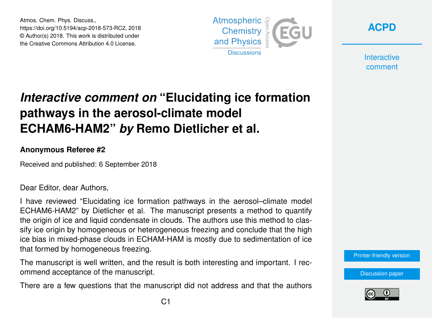Atmos. Chem. Phys. Discuss., https://doi.org/10.5194/acp-2018-573-RC2, 2018 © Author(s) 2018. This work is distributed under the Creative Commons Attribution 4.0 License.



**[ACPD](https://www.atmos-chem-phys-discuss.net/)**

**Interactive** comment

## *Interactive comment on* **"Elucidating ice formation pathways in the aerosol-climate model ECHAM6-HAM2"** *by* **Remo Dietlicher et al.**

## **Anonymous Referee #2**

Received and published: 6 September 2018

Dear Editor, dear Authors,

I have reviewed "Elucidating ice formation pathways in the aerosol–climate model ECHAM6-HAM2" by Dietlicher et al. The manuscript presents a method to quantify the origin of ice and liquid condensate in clouds. The authors use this method to classify ice origin by homogeneous or heterogeneous freezing and conclude that the high ice bias in mixed-phase clouds in ECHAM-HAM is mostly due to sedimentation of ice that formed by homogeneous freezing.

The manuscript is well written, and the result is both interesting and important. I recommend acceptance of the manuscript.

There are a few questions that the manuscript did not address and that the authors

[Printer-friendly version](https://www.atmos-chem-phys-discuss.net/acp-2018-573/acp-2018-573-RC2-print.pdf)

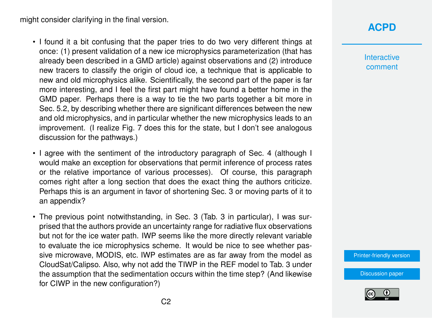might consider clarifying in the final version.

- I found it a bit confusing that the paper tries to do two very different things at once: (1) present validation of a new ice microphysics parameterization (that has already been described in a GMD article) against observations and (2) introduce new tracers to classify the origin of cloud ice, a technique that is applicable to new and old microphysics alike. Scientifically, the second part of the paper is far more interesting, and I feel the first part might have found a better home in the GMD paper. Perhaps there is a way to tie the two parts together a bit more in Sec. 5.2, by describing whether there are significant differences between the new and old microphysics, and in particular whether the new microphysics leads to an improvement. (I realize Fig. 7 does this for the state, but I don't see analogous discussion for the pathways.)
- I agree with the sentiment of the introductory paragraph of Sec. 4 (although I would make an exception for observations that permit inference of process rates or the relative importance of various processes). Of course, this paragraph comes right after a long section that does the exact thing the authors criticize. Perhaps this is an argument in favor of shortening Sec. 3 or moving parts of it to an appendix?
- The previous point notwithstanding, in Sec. 3 (Tab. 3 in particular), I was surprised that the authors provide an uncertainty range for radiative flux observations but not for the ice water path. IWP seems like the more directly relevant variable to evaluate the ice microphysics scheme. It would be nice to see whether passive microwave, MODIS, etc. IWP estimates are as far away from the model as CloudSat/Calipso. Also, why not add the TIWP in the REF model to Tab. 3 under the assumption that the sedimentation occurs within the time step? (And likewise for CIWP in the new configuration?)

## **[ACPD](https://www.atmos-chem-phys-discuss.net/)**

Interactive comment

[Printer-friendly version](https://www.atmos-chem-phys-discuss.net/acp-2018-573/acp-2018-573-RC2-print.pdf)

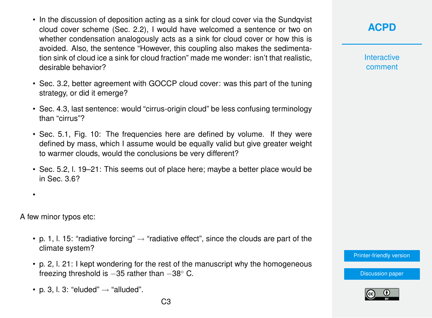- In the discussion of deposition acting as a sink for cloud cover via the Sundqvist cloud cover scheme (Sec. 2.2), I would have welcomed a sentence or two on whether condensation analogously acts as a sink for cloud cover or how this is avoided. Also, the sentence "However, this coupling also makes the sedimentation sink of cloud ice a sink for cloud fraction" made me wonder: isn't that realistic, desirable behavior?
- Sec. 3.2, better agreement with GOCCP cloud cover: was this part of the tuning strategy, or did it emerge?
- Sec. 4.3, last sentence: would "cirrus-origin cloud" be less confusing terminology than "cirrus"?
- Sec. 5.1, Fig. 10: The frequencies here are defined by volume. If they were defined by mass, which I assume would be equally valid but give greater weight to warmer clouds, would the conclusions be very different?
- Sec. 5.2, l. 19–21: This seems out of place here; maybe a better place would be in Sec. 3.6?

A few minor typos etc:

•

- p. 1, l. 15: "radiative forcing"  $\rightarrow$  "radiative effect", since the clouds are part of the climate system?
- p. 2, l. 21: I kept wondering for the rest of the manuscript why the homogeneous freezing threshold is -35 rather than -38° C.
- p. 3, l. 3: "eluded"  $\rightarrow$  "alluded".

**[ACPD](https://www.atmos-chem-phys-discuss.net/)**

**Interactive** comment

[Printer-friendly version](https://www.atmos-chem-phys-discuss.net/acp-2018-573/acp-2018-573-RC2-print.pdf)